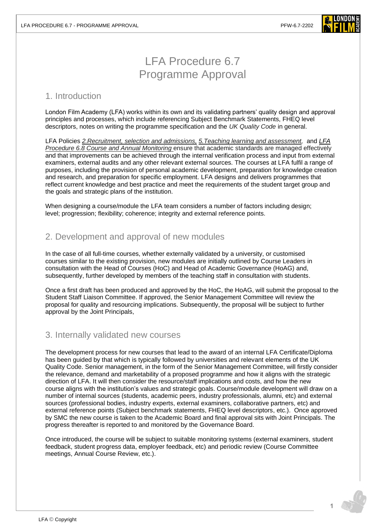

# LFA Procedure 6.7 Programme Approval

#### 1. Introduction

London Film Academy (LFA) works within its own and its validating partners' quality design and approval principles and processes, which include referencing Subject Benchmark Statements, FHEQ level descriptors, notes on writing the programme specification and the *[UK Quality Code](https://www.qaa.ac.uk/quality-code)* in general.

LFA Policies *[2.Recruitment, selection and](https://www.londonfilmacademy.com/LFA_Policy_2_Recruitment,_selection_and_admissions.pdf) admissions, [5.Teaching learning and assessment,](https://www.londonfilmacademy.com/LFA_Policy_5_Teaching,_learning_and_assessment.pdf)* and *LFA [Procedure 6.8](https://www.londonfilmacademy.com/LFA_Procedure_6.8_Course_and_annual_monitoring.pdf) Course and Annual Monitoring* ensure that academic standards are managed effectively and that improvements can be achieved through the internal verification process and input from external examiners, external audits and any other relevant external sources. The courses at LFA fulfil a range of purposes, including the provision of personal academic development, preparation for knowledge creation and research, and preparation for specific employment. LFA designs and delivers programmes that reflect current knowledge and best practice and meet the requirements of the student target group and the goals and strategic plans of the institution.

When designing a course/module the LFA team considers a number of factors including design; level; progression; flexibility; coherence; integrity and external reference points.

### 2. Development and approval of new modules

In the case of all full-time courses, whether externally validated by a university, or customised courses similar to the existing provision, new modules are initially outlined by Course Leaders in consultation with the Head of Courses (HoC) and Head of Academic Governance (HoAG) and, subsequently, further developed by members of the teaching staff in consultation with students.

Once a first draft has been produced and approved by the HoC, the HoAG, will submit the proposal to the Student Staff Liaison Committee. If approved, the Senior Management Committee will review the proposal for quality and resourcing implications. Subsequently, the proposal will be subject to further approval by the Joint Principals,

## 3. Internally validated new courses

The development process for new courses that lead to the award of an internal LFA Certificate/Diploma has been guided by that which is typically followed by universities and relevant elements of the UK Quality Code. Senior management, in the form of the Senior Management Committee, will firstly consider the relevance, demand and marketability of a proposed programme and how it aligns with the strategic direction of LFA. It will then consider the resource/staff implications and costs, and how the new course aligns with the institution's values and strategic goals. Course/module development will draw on a number of internal sources (students, academic peers, industry professionals, alumni, etc) and external sources (professional bodies, industry experts, external examiners, collaborative partners, etc) and external reference points (Subject benchmark statements, FHEQ level descriptors, etc.). Once approved by SMC the new course is taken to the Academic Board and final approval sits with Joint Principals. The progress thereafter is reported to and monitored by the Governance Board.

Once introduced, the course will be subject to suitable monitoring systems (external examiners, student feedback, student progress data, employer feedback, etc) and periodic review (Course Committee meetings, Annual Course Review, etc.).